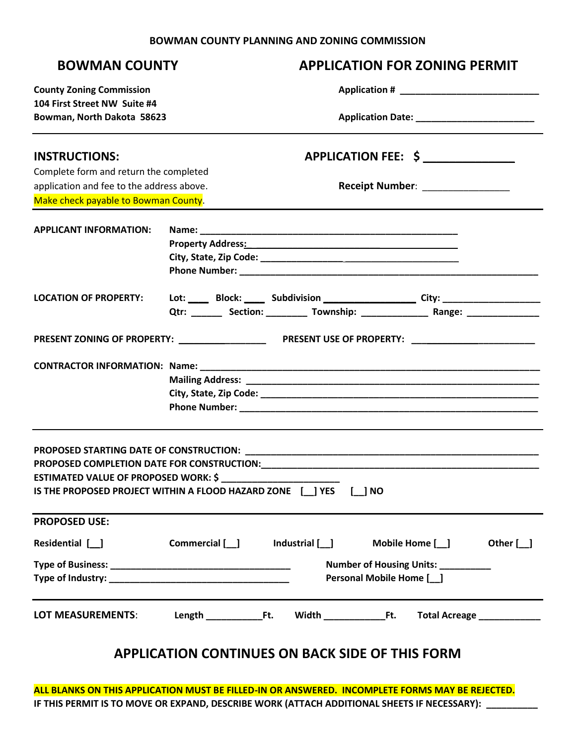## **BOWMAN COUNTY PLANNING AND ZONING COMMISSION**

| <b>BOWMAN COUNTY</b>                        | <b>APPLICATION FOR ZONING PERMIT</b>                                                    |
|---------------------------------------------|-----------------------------------------------------------------------------------------|
| <b>County Zoning Commission</b>             |                                                                                         |
| 104 First Street NW Suite #4                |                                                                                         |
| Bowman, North Dakota 58623                  |                                                                                         |
| <b>INSTRUCTIONS:</b>                        | APPLICATION FEE: \$                                                                     |
| Complete form and return the completed      |                                                                                         |
| application and fee to the address above.   | Receipt Number: ________________                                                        |
| Make check payable to Bowman County.        |                                                                                         |
| <b>APPLICANT INFORMATION:</b>               |                                                                                         |
|                                             |                                                                                         |
|                                             |                                                                                         |
|                                             |                                                                                         |
| <b>LOCATION OF PROPERTY:</b>                | Lot: ____ Block: ____ Subdivision __________________ City: _____________________        |
|                                             | Qtr: ________ Section: __________ Township: __________________ Range: _________________ |
|                                             |                                                                                         |
|                                             |                                                                                         |
|                                             |                                                                                         |
|                                             |                                                                                         |
|                                             |                                                                                         |
| <b>ESTIMATED VALUE OF PROPOSED WORK: \$</b> | IS THE PROPOSED PROJECT WITHIN A FLOOD HAZARD ZONE [ ] YES [ ] NO                       |
| <b>PROPOSED USE:</b>                        |                                                                                         |
|                                             | Residential [ _ ] Commercial [ _ ] Industrial [ _ ] Mobile Home [ _ ] Other [ _ ]       |
|                                             | Number of Housing Units: __________<br>Personal Mobile Home [141]                       |
|                                             |                                                                                         |
|                                             | <b>APPLICATION CONTINUES ON BACK SIDE OF THIS FORM</b>                                  |

**ALL BLANKS ON THIS APPLICATION MUST BE FILLED-IN OR ANSWERED. INCOMPLETE FORMS MAY BE REJECTED. IF THIS PERMIT IS TO MOVE OR EXPAND, DESCRIBE WORK (ATTACH ADDITIONAL SHEETS IF NECESSARY): \_\_\_\_\_\_\_\_\_\_**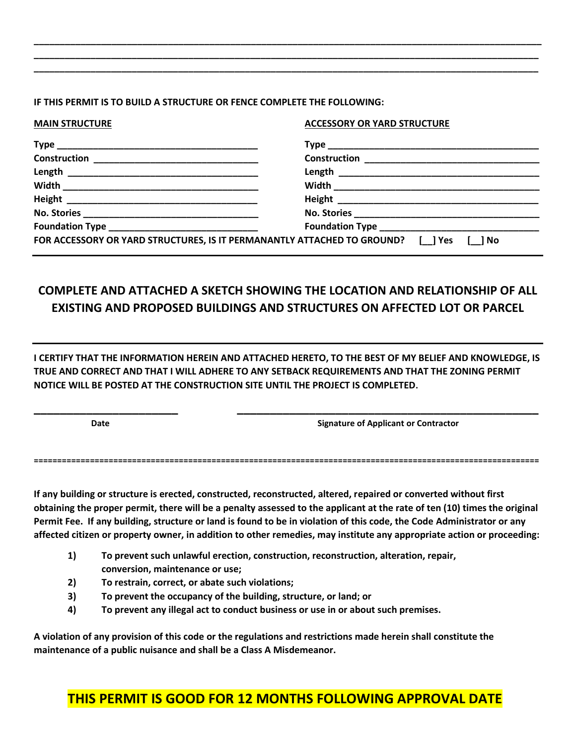## **IF THIS PERMIT IS TO BUILD A STRUCTURE OR FENCE COMPLETE THE FOLLOWING:**

| <b>MAIN STRUCTURE</b> | <b>ACCESSORY OR YARD STRUCTURE</b>                                                     |  |
|-----------------------|----------------------------------------------------------------------------------------|--|
|                       |                                                                                        |  |
|                       |                                                                                        |  |
|                       |                                                                                        |  |
|                       |                                                                                        |  |
|                       |                                                                                        |  |
|                       |                                                                                        |  |
|                       |                                                                                        |  |
|                       | FOR ACCESSORY OR YARD STRUCTURES, IS IT PERMANANTLY ATTACHED TO GROUND? [ ] Yes [ ] No |  |

**\_\_\_\_\_\_\_\_\_\_\_\_\_\_\_\_\_\_\_\_\_\_\_\_\_\_\_\_\_\_\_\_\_\_\_\_\_\_\_\_\_\_\_\_\_\_\_\_\_\_\_\_\_\_\_\_\_\_\_\_\_\_\_\_\_\_\_\_\_\_\_\_\_\_\_\_\_\_\_\_\_\_\_\_\_\_\_\_\_\_\_\_\_\_\_\_\_\_ \_\_\_\_\_\_\_\_\_\_\_\_\_\_\_\_\_\_\_\_\_\_\_\_\_\_\_\_\_\_\_\_\_\_\_\_\_\_\_\_\_\_\_\_\_\_\_\_\_\_\_\_\_\_\_\_\_\_\_\_\_\_\_\_\_\_\_\_\_\_\_\_\_\_\_\_\_\_\_\_\_\_\_\_\_\_\_\_\_\_\_\_\_\_\_\_\_\_ \_\_\_\_\_\_\_\_\_\_\_\_\_\_\_\_\_\_\_\_\_\_\_\_\_\_\_\_\_\_\_\_\_\_\_\_\_\_\_\_\_\_\_\_\_\_\_\_\_\_\_\_\_\_\_\_\_\_\_\_\_\_\_\_\_\_\_\_\_\_\_\_\_\_\_\_\_\_\_\_\_\_\_\_\_\_\_\_\_\_\_\_\_\_\_\_\_\_**

## **COMPLETE AND ATTACHED A SKETCH SHOWING THE LOCATION AND RELATIONSHIP OF ALL EXISTING AND PROPOSED BUILDINGS AND STRUCTURES ON AFFECTED LOT OR PARCEL**

**I CERTIFY THAT THE INFORMATION HEREIN AND ATTACHED HERETO, TO THE BEST OF MY BELIEF AND KNOWLEDGE, IS TRUE AND CORRECT AND THAT I WILL ADHERE TO ANY SETBACK REQUIREMENTS AND THAT THE ZONING PERMIT NOTICE WILL BE POSTED AT THE CONSTRUCTION SITE UNTIL THE PROJECT IS COMPLETED.** 

**\_\_\_\_\_\_\_\_\_\_\_\_\_\_\_\_\_\_\_\_\_\_ \_\_\_\_\_\_\_\_\_\_\_\_\_\_\_\_\_\_\_\_\_\_\_\_\_\_\_\_\_\_\_\_\_\_\_\_\_\_\_\_\_\_\_\_\_\_**

**Date** *CONTRACTERS <b>DATE* Signature of Applicant or Contractor

**============================================================================================================**

**If any building or structure is erected, constructed, reconstructed, altered, repaired or converted without first obtaining the proper permit, there will be a penalty assessed to the applicant at the rate of ten (10) times the original Permit Fee. If any building, structure or land is found to be in violation of this code, the Code Administrator or any affected citizen or property owner, in addition to other remedies, may institute any appropriate action or proceeding:**

- **1) To prevent such unlawful erection, construction, reconstruction, alteration, repair, conversion, maintenance or use;**
- **2) To restrain, correct, or abate such violations;**
- **3) To prevent the occupancy of the building, structure, or land; or**
- **4) To prevent any illegal act to conduct business or use in or about such premises.**

**A violation of any provision of this code or the regulations and restrictions made herein shall constitute the maintenance of a public nuisance and shall be a Class A Misdemeanor.**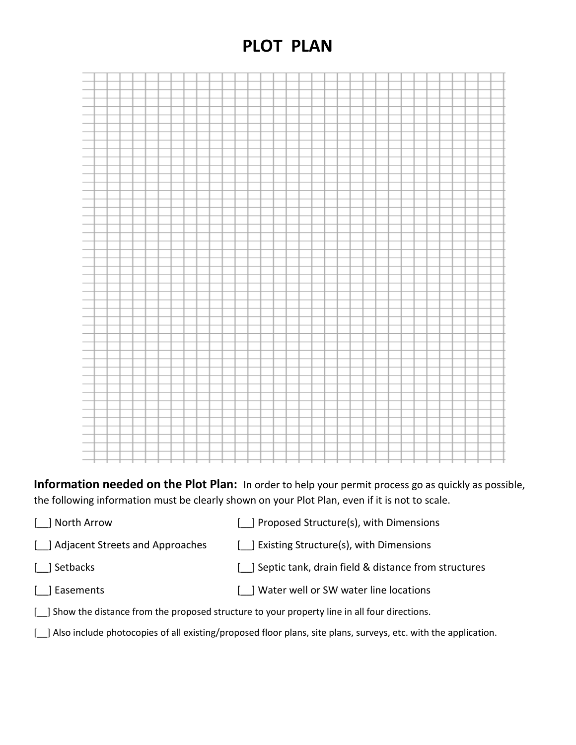## **PLOT PLAN**



**Information needed on the Plot Plan:** In order to help your permit process go as quickly as possible, the following information must be clearly shown on your Plot Plan, even if it is not to scale.

- [\_\_] North Arrow [\_\_] Proposed Structure(s), with Dimensions
- [ ] Adjacent Streets and Approaches [ ] Existing Structure(s), with Dimensions
- [\_\_] Setbacks [\_\_] Septic tank, drain field & distance from structures
- 
- [ ] Easements [ ] Water well or SW water line locations
- [10] Show the distance from the proposed structure to your property line in all four directions.
- [ $\Box$ ] Also include photocopies of all existing/proposed floor plans, site plans, surveys, etc. with the application.